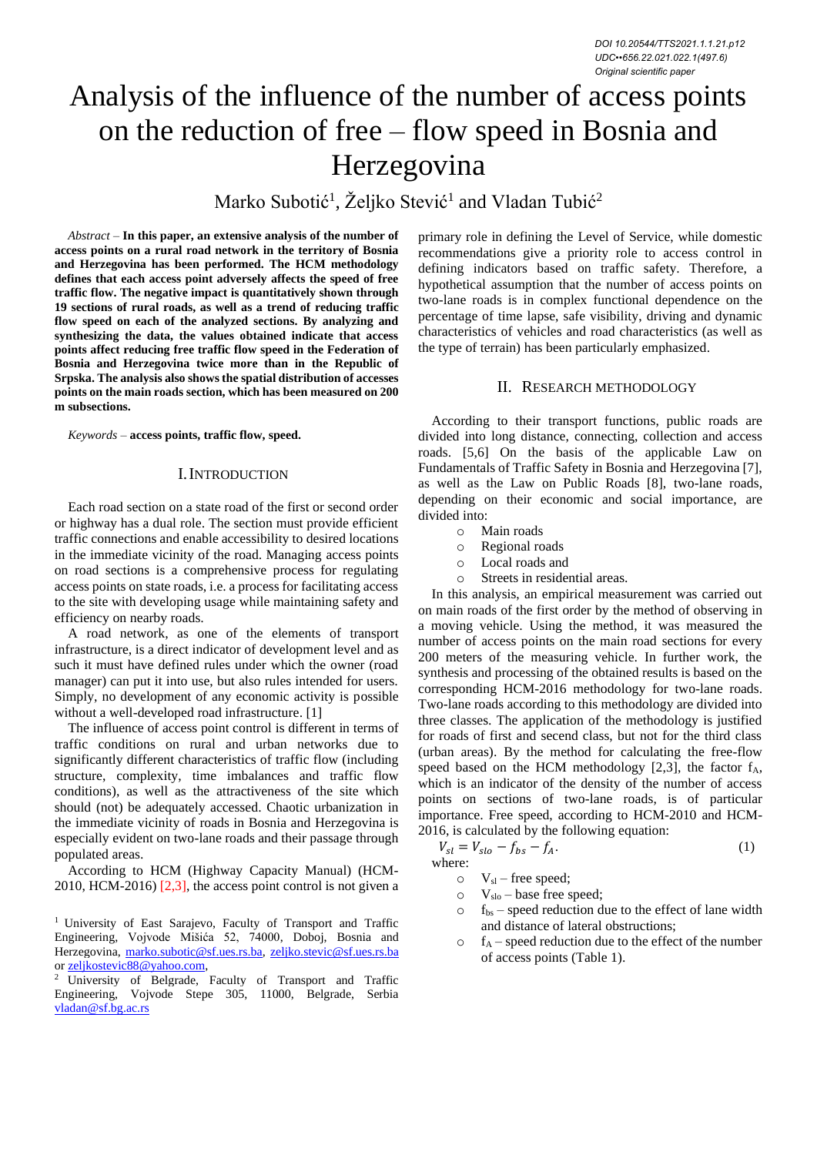# Analysis of the influence of the number of access points on the reduction of free – flow speed in Bosnia and Herzegovina

Marko Subotić<sup>1</sup>, Željko Stević<sup>1</sup> and Vladan Tubić<sup>2</sup>

*Abstract –* **In this paper, an extensive analysis of the number of access points on a rural road network in the territory of Bosnia and Herzegovina has been performed. The HCM methodology defines that each access point adversely affects the speed of free traffic flow. The negative impact is quantitatively shown through 19 sections of rural roads, as well as a trend of reducing traffic flow speed on each of the analyzed sections. By analyzing and synthesizing the data, the values obtained indicate that access points affect reducing free traffic flow speed in the Federation of Bosnia and Herzegovina twice more than in the Republic of Srpska. The analysis also shows the spatial distribution of accesses points on the main roads section, which has been measured on 200 m subsections.**

*Keywords –* **access points, traffic flow, speed.**

## I.INTRODUCTION

Each road section on a state road of the first or second order or highway has a dual role. The section must provide efficient traffic connections and enable accessibility to desired locations in the immediate vicinity of the road. Managing access points on road sections is a comprehensive process for regulating access points on state roads, i.e. a process for facilitating access to the site with developing usage while maintaining safety and efficiency on nearby roads.

A road network, as one of the elements of transport infrastructure, is a direct indicator of development level and as such it must have defined rules under which the owner (road manager) can put it into use, but also rules intended for users. Simply, no development of any economic activity is possible without a well-developed road infrastructure. [1]

The influence of access point control is different in terms of traffic conditions on rural and urban networks due to significantly different characteristics of traffic flow (including structure, complexity, time imbalances and traffic flow conditions), as well as the attractiveness of the site which should (not) be adequately accessed. Chaotic urbanization in the immediate vicinity of roads in Bosnia and Herzegovina is especially evident on two-lane roads and their passage through populated areas.

According to HCM (Highway Capacity Manual) (HCM-2010, HCM-2016)  $[2,3]$ , the access point control is not given a

primary role in defining the Level of Service, while domestic recommendations give a priority role to access control in defining indicators based on traffic safety. Therefore, a hypothetical assumption that the number of access points on two-lane roads is in complex functional dependence on the percentage of time lapse, safe visibility, driving and dynamic characteristics of vehicles and road characteristics (as well as the type of terrain) has been particularly emphasized.

#### II. RESEARCH METHODOLOGY

According to their transport functions, public roads are divided into long distance, connecting, collection and access roads. [5,6] On the basis of the applicable Law on Fundamentals of Traffic Safety in Bosnia and Herzegovina [7], as well as the Law on Public Roads [8], two-lane roads, depending on their economic and social importance, are divided into:

- o Main roads
- o Regional roads
- o Local roads and
- o Streets in residential areas.

In this analysis, an empirical measurement was carried out on main roads of the first order by the method of observing in a moving vehicle. Using the method, it was measured the number of access points on the main road sections for every 200 meters of the measuring vehicle. In further work, the synthesis and processing of the obtained results is based on the corresponding HCM-2016 methodology for two-lane roads. Two-lane roads according to this methodology are divided into three classes. The application of the methodology is justified for roads of first and secend class, but not for the third class (urban areas). By the method for calculating the free-flow speed based on the HCM methodology  $[2,3]$ , the factor  $f_A$ , which is an indicator of the density of the number of access points on sections of two-lane roads, is of particular importance. Free speed, according to HCM-2010 and HCM-2016, is calculated by the following equation:

$$
V_{sl} = V_{slo} - f_{bs} - f_A. \tag{1}
$$

where:

- $V_{\rm sl}$  free speed;  $\circ$  V<sub>slo</sub> – base free speed;
- $\circ$  f<sub>bs</sub> speed reduction due to the effect of lane width and distance of lateral obstructions;
- $\circ$  f<sub>A</sub> speed reduction due to the effect of the number of access points (Table 1).

<sup>&</sup>lt;sup>1</sup> University of East Sarajevo, Faculty of Transport and Traffic Engineering, Vojvode Mišića 52, 74000, Doboj, Bosnia and Herzegovina, [marko.subotic@sf.ues.rs.ba,](mailto:marko.subotic@sf.ues.rs.ba) [zeljko.stevic@sf.ues.rs.ba](mailto:zeljko.stevic@sf.ues.rs.ba) or [zeljkostevic88@yahoo.com,](mailto:zeljkostevic88@yahoo.com)

<sup>&</sup>lt;sup>2</sup> University of Belgrade, Faculty of Transport and Traffic Engineering, Vojvode Stepe 305, 11000, Belgrade, Serbia vladan@sf.bg.ac.rs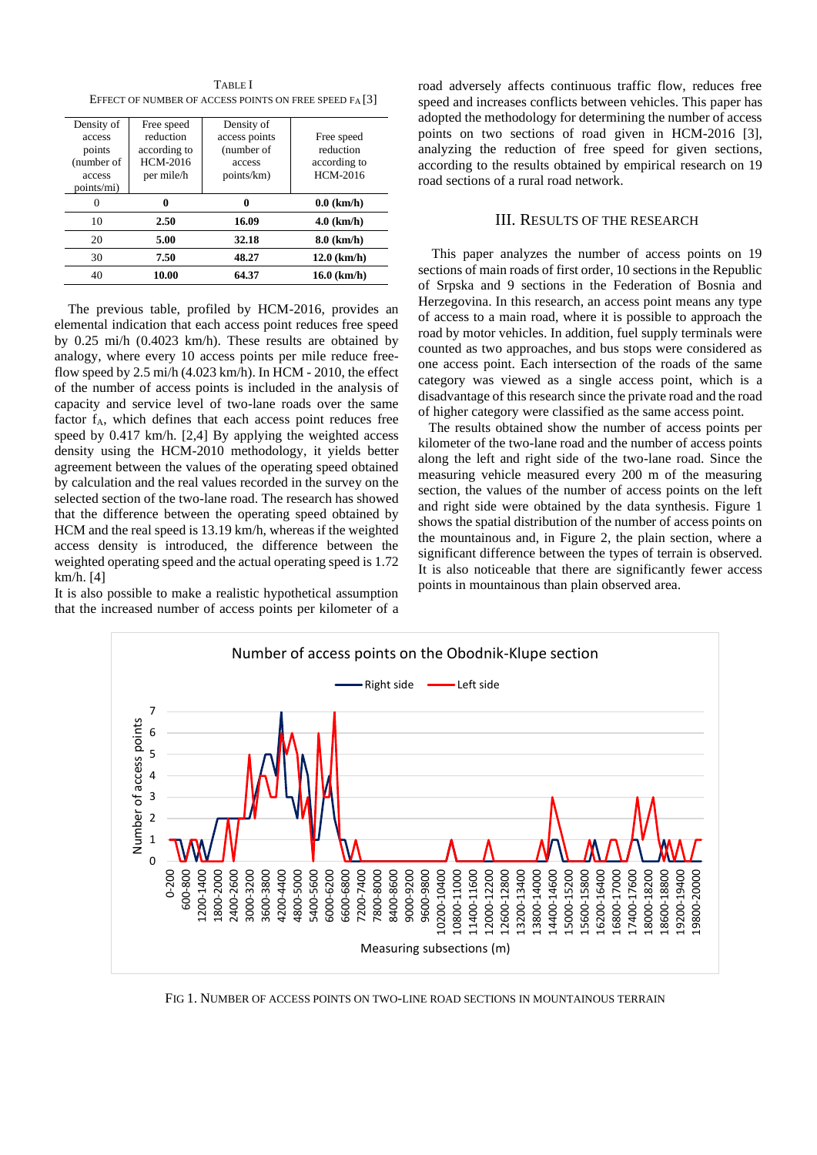TABLE I EFFECT OF NUMBER OF ACCESS POINTS ON FREE SPEED FA [3]

| Density of<br>access<br>points<br>(number of<br>access<br>points/mi) | Free speed<br>reduction<br>according to<br>HCM-2016<br>per mile/h | Density of<br>access points<br>(number of<br>access<br>points/km) | Free speed<br>reduction<br>according to<br>HCM-2016 |
|----------------------------------------------------------------------|-------------------------------------------------------------------|-------------------------------------------------------------------|-----------------------------------------------------|
|                                                                      |                                                                   | 0                                                                 | $0.0$ (km/h)                                        |
| 10                                                                   | 2.50                                                              | 16.09                                                             | $4.0$ (km/h)                                        |
| 20                                                                   | 5.00                                                              | 32.18                                                             | $8.0$ (km/h)                                        |
| 30                                                                   | 7.50                                                              | 48.27                                                             | $12.0$ (km/h)                                       |
| 40                                                                   | 10.00                                                             | 64.37                                                             | $16.0$ (km/h)                                       |

The previous table, profiled by HCM-2016, provides an elemental indication that each access point reduces free speed by 0.25 mi/h (0.4023 km/h). These results are obtained by analogy, where every 10 access points per mile reduce freeflow speed by  $2.5$  mi/h  $(4.023$  km/h). In HCM -  $2010$ , the effect of the number of access points is included in the analysis of capacity and service level of two-lane roads over the same factor f<sub>A</sub>, which defines that each access point reduces free speed by 0.417 km/h. [2,4] By applying the weighted access density using the HCM-2010 methodology, it yields better agreement between the values of the operating speed obtained by calculation and the real values recorded in the survey on the selected section of the two-lane road. The research has showed that the difference between the operating speed obtained by HCM and the real speed is 13.19 km/h, whereas if the weighted access density is introduced, the difference between the weighted operating speed and the actual operating speed is 1.72 km/h. [4]

It is also possible to make a realistic hypothetical assumption that the increased number of access points per kilometer of a road adversely affects continuous traffic flow, reduces free speed and increases conflicts between vehicles. This paper has adopted the methodology for determining the number of access points on two sections of road given in HCM-2016 [3], analyzing the reduction of free speed for given sections, according to the results obtained by empirical research on 19 road sections of a rural road network.

# III. RESULTS OF THE RESEARCH

This paper analyzes the number of access points on 19 sections of main roads of first order, 10 sections in the Republic of Srpska and 9 sections in the Federation of Bosnia and Herzegovina. In this research, an access point means any type of access to a main road, where it is possible to approach the road by motor vehicles. In addition, fuel supply terminals were counted as two approaches, and bus stops were considered as one access point. Each intersection of the roads of the same category was viewed as a single access point, which is a disadvantage of this research since the private road and the road of higher category were classified as the same access point.

 The results obtained show the number of access points per kilometer of the two-lane road and the number of access points along the left and right side of the two-lane road. Since the measuring vehicle measured every 200 m of the measuring section, the values of the number of access points on the left and right side were obtained by the data synthesis. Figure 1 shows the spatial distribution of the number of access points on the mountainous and, in Figure 2, the plain section, where a significant difference between the types of terrain is observed. It is also noticeable that there are significantly fewer access points in mountainous than plain observed area.



FIG 1. NUMBER OF ACCESS POINTS ON TWO-LINE ROAD SECTIONS IN MOUNTAINOUS TERRAIN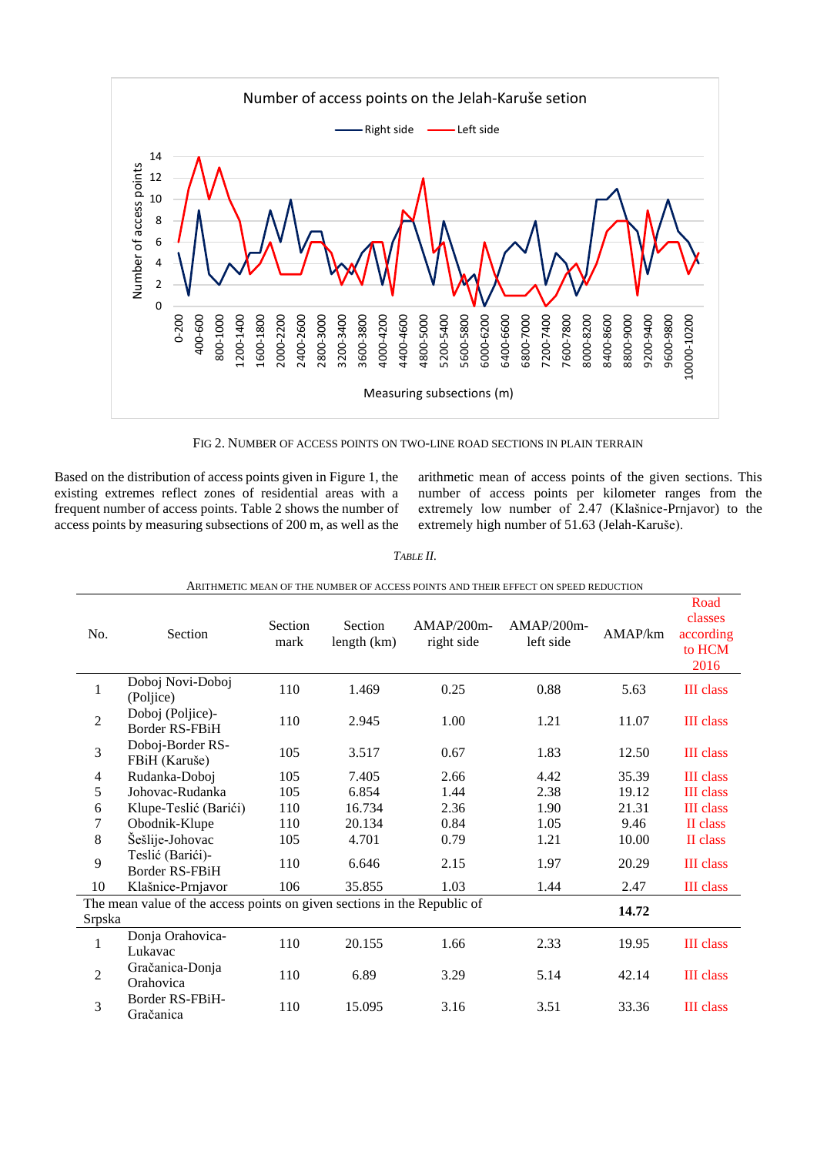

FIG 2. NUMBER OF ACCESS POINTS ON TWO-LINE ROAD SECTIONS IN PLAIN TERRAIN

Based on the distribution of access points given in Figure 1, the existing extremes reflect zones of residential areas with a frequent number of access points. Table 2 shows the number of access points by measuring subsections of 200 m, as well as the arithmetic mean of access points of the given sections. This number of access points per kilometer ranges from the extremely low number of 2.47 (Klašnice-Prnjavor) to the extremely high number of 51.63 (Jelah-Karuše).

| No.                                                                                         | Section                                   | Section<br>mark | Section<br>length (km) | $AMAP/200m-$<br>right side | <u>UL ACCEUD I UINTU ANNO THEIN EITECT UN DI EED NEDUCTIUN</u><br>$AMAP/200m-$<br>left side | AMAP/km | Road<br>classes<br>according<br>to HCM<br>2016 |
|---------------------------------------------------------------------------------------------|-------------------------------------------|-----------------|------------------------|----------------------------|---------------------------------------------------------------------------------------------|---------|------------------------------------------------|
| 1                                                                                           | Doboj Novi-Doboj<br>(Poljice)             | 110             | 1.469                  | 0.25                       | 0.88                                                                                        | 5.63    | <b>III</b> class                               |
| $\overline{2}$                                                                              | Doboj (Poljice)-<br>Border RS-FBiH        | 110             | 2.945                  | 1.00                       | 1.21                                                                                        | 11.07   | <b>III</b> class                               |
| 3                                                                                           | Doboj-Border RS-<br>FBiH (Karuše)         | 105             | 3.517                  | 0.67                       | 1.83                                                                                        | 12.50   | <b>III</b> class                               |
| $\overline{4}$                                                                              | Rudanka-Doboj                             | 105             | 7.405                  | 2.66                       | 4.42                                                                                        | 35.39   | <b>III</b> class                               |
| 5                                                                                           | Johovac-Rudanka                           | 105             | 6.854                  | 1.44                       | 2.38                                                                                        | 19.12   | <b>III</b> class                               |
| 6                                                                                           | Klupe-Teslić (Barići)                     | 110             | 16.734                 | 2.36                       | 1.90                                                                                        | 21.31   | <b>III</b> class                               |
| $\tau$                                                                                      | Obodnik-Klupe                             | 110             | 20.134                 | 0.84                       | 1.05                                                                                        | 9.46    | II class                                       |
| 8                                                                                           | Šešlije-Johovac                           | 105             | 4.701                  | 0.79                       | 1.21                                                                                        | 10.00   | II class                                       |
| 9                                                                                           | Teslić (Barići)-<br><b>Border RS-FBiH</b> | 110             | 6.646                  | 2.15                       | 1.97                                                                                        | 20.29   | <b>III</b> class                               |
| 10                                                                                          | Klašnice-Prnjavor                         | 106             | 35.855                 | 1.03                       | 1.44                                                                                        | 2.47    | <b>III</b> class                               |
| The mean value of the access points on given sections in the Republic of<br>14.72<br>Srpska |                                           |                 |                        |                            |                                                                                             |         |                                                |
| $\mathbf 1$                                                                                 | Donja Orahovica-<br>Lukavac               | 110             | 20.155                 | 1.66                       | 2.33                                                                                        | 19.95   | <b>III</b> class                               |
| $\overline{2}$                                                                              | Gračanica-Donja<br>Orahovica              | 110             | 6.89                   | 3.29                       | 5.14                                                                                        | 42.14   | <b>III</b> class                               |
| 3                                                                                           | Border RS-FBiH-<br>Gračanica              | 110             | 15.095                 | 3.16                       | 3.51                                                                                        | 33.36   | <b>III</b> class                               |

## ARITHMETIC MEAN OF THE NUMBER OF ACCESS POINTS AND THEIR EFFECT ON SPEED REDUCTION